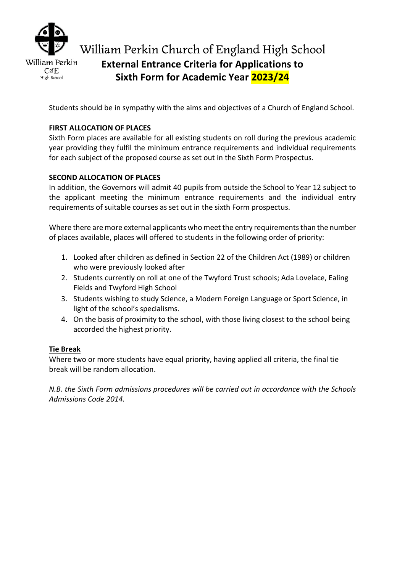

High School

# William Perkin Church of England High School **External Entrance Criteria for Applications to Sixth Form for Academic Year 2023/24**

Students should be in sympathy with the aims and objectives of a Church of England School.

# **FIRST ALLOCATION OF PLACES**

Sixth Form places are available for all existing students on roll during the previous academic year providing they fulfil the minimum entrance requirements and individual requirements for each subject of the proposed course as set out in the Sixth Form Prospectus.

# **SECOND ALLOCATION OF PLACES**

In addition, the Governors will admit 40 pupils from outside the School to Year 12 subject to the applicant meeting the minimum entrance requirements and the individual entry requirements of suitable courses as set out in the sixth Form prospectus.

Where there are more external applicants who meet the entry requirements than the number of places available, places will offered to students in the following order of priority:

- 1. Looked after children as defined in Section 22 of the Children Act (1989) or children who were previously looked after
- 2. Students currently on roll at one of the Twyford Trust schools; Ada Lovelace, Ealing Fields and Twyford High School
- 3. Students wishing to study Science, a Modern Foreign Language or Sport Science, in light of the school's specialisms.
- 4. On the basis of proximity to the school, with those living closest to the school being accorded the highest priority.

### **Tie Break**

Where two or more students have equal priority, having applied all criteria, the final tie break will be random allocation.

*N.B. the Sixth Form admissions procedures will be carried out in accordance with the Schools Admissions Code 2014.*